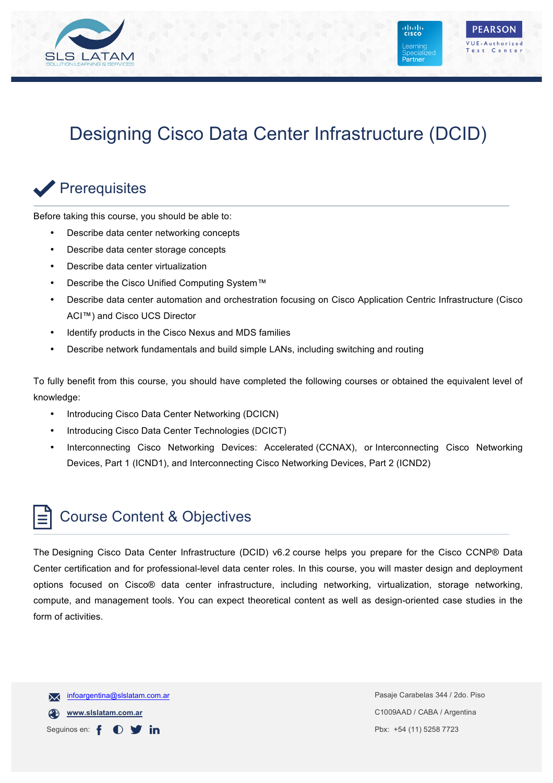

# Designing Cisco Data Center Infrastructure (DCID)

### Prerequisites

Before taking this course, you should be able to:

- Describe data center networking concepts
- Describe data center storage concepts
- Describe data center virtualization
- Describe the Cisco Unified Computing System™
- Describe data center automation and orchestration focusing on Cisco Application Centric Infrastructure (Cisco ACI™) and Cisco UCS Director
- Identify products in the Cisco Nexus and MDS families
- Describe network fundamentals and build simple LANs, including switching and routing

To fully benefit from this course, you should have completed the following courses or obtained the equivalent level of knowledge:

- Introducing Cisco Data Center Networking (DCICN)
- Introducing Cisco Data Center Technologies (DCICT)
- Interconnecting Cisco Networking Devices: Accelerated (CCNAX), or Interconnecting Cisco Networking Devices, Part 1 (ICND1), and Interconnecting Cisco Networking Devices, Part 2 (ICND2)

#### Course Content & Objectives

The Designing Cisco Data Center Infrastructure (DCID) v6.2 course helps you prepare for the Cisco CCNP® Data Center certification and for professional-level data center roles. In this course, you will master design and deployment options focused on Cisco® data center infrastructure, including networking, virtualization, storage networking, compute, and management tools. You can expect theoretical content as well as design-oriented case studies in the form of activities.

infoargentina@slslatam.com.ar  $\overline{\mathsf{x}}$ **www.slslatam.com.ar** Seguinos en: f in.  $\bigcirc$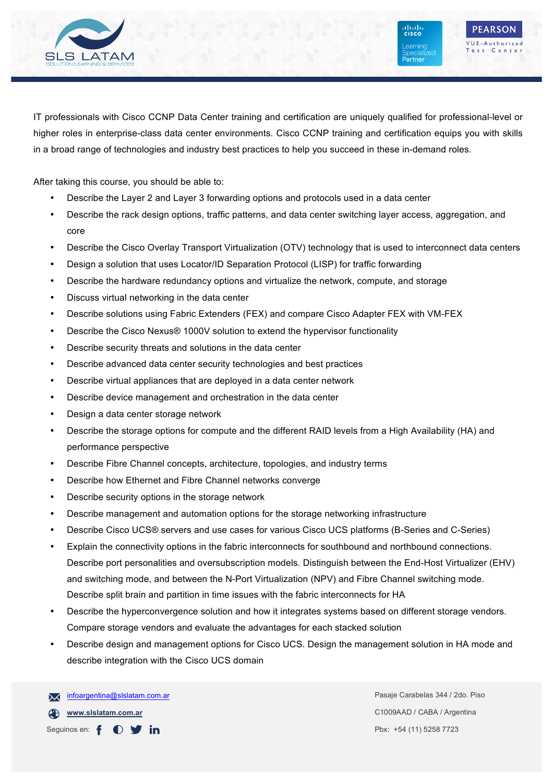

ahah.<br>Telseo

Learning

Partner

IT professionals with Cisco CCNP Data Center training and certification are uniquely qualified for professional-level or higher roles in enterprise-class data center environments. Cisco CCNP training and certification equips you with skills in a broad range of technologies and industry best practices to help you succeed in these in-demand roles.

After taking this course, you should be able to:

- Describe the Layer 2 and Layer 3 forwarding options and protocols used in a data center
- Describe the rack design options, traffic patterns, and data center switching layer access, aggregation, and core
- Describe the Cisco Overlay Transport Virtualization (OTV) technology that is used to interconnect data centers
- Design a solution that uses Locator/ID Separation Protocol (LISP) for traffic forwarding
- Describe the hardware redundancy options and virtualize the network, compute, and storage
- Discuss virtual networking in the data center
- Describe solutions using Fabric Extenders (FEX) and compare Cisco Adapter FEX with VM-FEX
- Describe the Cisco Nexus® 1000V solution to extend the hypervisor functionality
- Describe security threats and solutions in the data center
- Describe advanced data center security technologies and best practices
- Describe virtual appliances that are deployed in a data center network
- Describe device management and orchestration in the data center
- Design a data center storage network
- Describe the storage options for compute and the different RAID levels from a High Availability (HA) and performance perspective
- Describe Fibre Channel concepts, architecture, topologies, and industry terms
- Describe how Ethernet and Fibre Channel networks converge
- Describe security options in the storage network
- Describe management and automation options for the storage networking infrastructure
- Describe Cisco UCS® servers and use cases for various Cisco UCS platforms (B-Series and C-Series)
- Explain the connectivity options in the fabric interconnects for southbound and northbound connections. Describe port personalities and oversubscription models. Distinguish between the End-Host Virtualizer (EHV) and switching mode, and between the N-Port Virtualization (NPV) and Fibre Channel switching mode. Describe split brain and partition in time issues with the fabric interconnects for HA
- Describe the hyperconvergence solution and how it integrates systems based on different storage vendors. Compare storage vendors and evaluate the advantages for each stacked solution
- Describe design and management options for Cisco UCS. Design the management solution in HA mode and describe integration with the Cisco UCS domain

**www.slslatam.com.ar** Seguinos en: f  $\bullet$   $\bullet$  in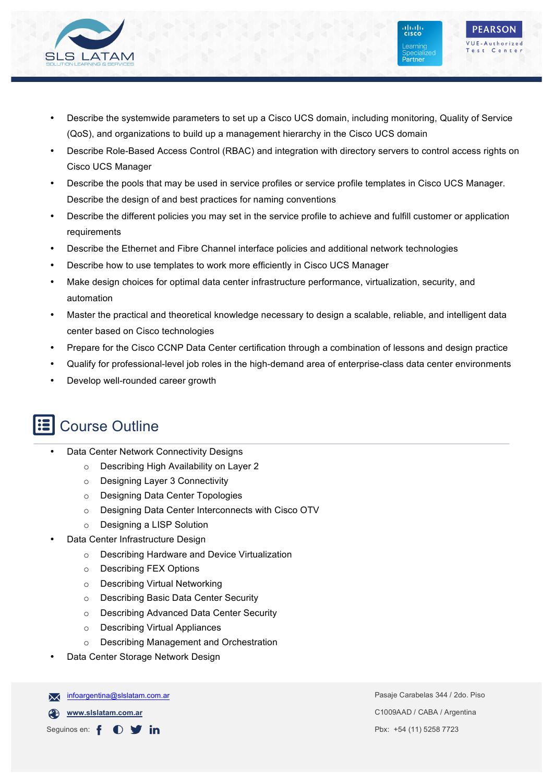

• Describe the systemwide parameters to set up a Cisco UCS domain, including monitoring, Quality of Service (QoS), and organizations to build up a management hierarchy in the Cisco UCS domain

ahah.<br>Risco

Learning

Partner

**PEARSON** VUF-Authorized

Test Center

- Describe Role-Based Access Control (RBAC) and integration with directory servers to control access rights on Cisco UCS Manager
- Describe the pools that may be used in service profiles or service profile templates in Cisco UCS Manager. Describe the design of and best practices for naming conventions
- Describe the different policies you may set in the service profile to achieve and fulfill customer or application requirements
- Describe the Ethernet and Fibre Channel interface policies and additional network technologies
- Describe how to use templates to work more efficiently in Cisco UCS Manager
- Make design choices for optimal data center infrastructure performance, virtualization, security, and automation
- Master the practical and theoretical knowledge necessary to design a scalable, reliable, and intelligent data center based on Cisco technologies
- Prepare for the Cisco CCNP Data Center certification through a combination of lessons and design practice
- Qualify for professional-level job roles in the high-demand area of enterprise-class data center environments
- Develop well-rounded career growth

## Course Outline

- Data Center Network Connectivity Designs
	- o Describing High Availability on Layer 2
	- o Designing Layer 3 Connectivity
	- o Designing Data Center Topologies
	- o Designing Data Center Interconnects with Cisco OTV
	- o Designing a LISP Solution
- Data Center Infrastructure Design
	- o Describing Hardware and Device Virtualization
	- o Describing FEX Options
	- o Describing Virtual Networking
	- o Describing Basic Data Center Security
	- o Describing Advanced Data Center Security
	- o Describing Virtual Appliances
	- o Describing Management and Orchestration
- Data Center Storage Network Design

infoargentina@slslatam.com.ar  $\overline{\mathsf{x}}$ 

**www.slslatam.com.ar**

Seguinos en: f  $\bullet$  $\mathbf y$  in Pasaje Carabelas 344 / 2do. Piso C1009AAD / CABA / Argentina Pbx: +54 (11) 5258 7723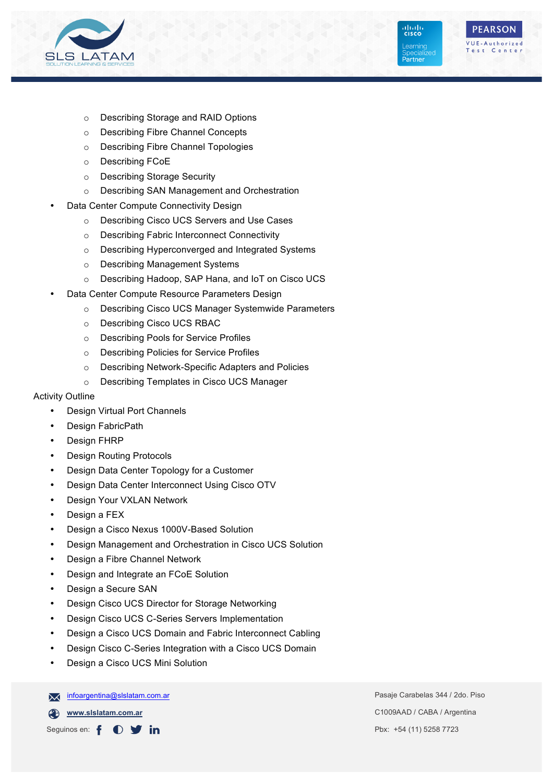



alialia<br>Icisco

Learning

Partner

- o Describing Storage and RAID Options
- o Describing Fibre Channel Concepts
- o Describing Fibre Channel Topologies
- o Describing FCoE
- o Describing Storage Security
- o Describing SAN Management and Orchestration
- Data Center Compute Connectivity Design
	- o Describing Cisco UCS Servers and Use Cases
	- o Describing Fabric Interconnect Connectivity
	- o Describing Hyperconverged and Integrated Systems
	- o Describing Management Systems
	- o Describing Hadoop, SAP Hana, and IoT on Cisco UCS
- Data Center Compute Resource Parameters Design
	- o Describing Cisco UCS Manager Systemwide Parameters
	- o Describing Cisco UCS RBAC
	- o Describing Pools for Service Profiles
	- o Describing Policies for Service Profiles
	- o Describing Network-Specific Adapters and Policies
	- o Describing Templates in Cisco UCS Manager

#### Activity Outline

- **Design Virtual Port Channels**
- Design FabricPath
- Design FHRP
- Design Routing Protocols
- Design Data Center Topology for a Customer
- Design Data Center Interconnect Using Cisco OTV
- Design Your VXLAN Network
- Design a FEX
- Design a Cisco Nexus 1000V-Based Solution
- Design Management and Orchestration in Cisco UCS Solution
- Design a Fibre Channel Network
- Design and Integrate an FCoE Solution
- Design a Secure SAN
- Design Cisco UCS Director for Storage Networking
- Design Cisco UCS C-Series Servers Implementation
- Design a Cisco UCS Domain and Fabric Interconnect Cabling
- Design Cisco C-Series Integration with a Cisco UCS Domain
- Design a Cisco UCS Mini Solution

infoargentina@slslatam.com.ar  $\overline{\mathsf{M}}$ 

**www.slslatam.com.ar**

Seguinos en: f  $\bullet$   $\bullet$  in

Pasaje Carabelas 344 / 2do. Piso C1009AAD / CABA / Argentina Pbx: +54 (11) 5258 7723